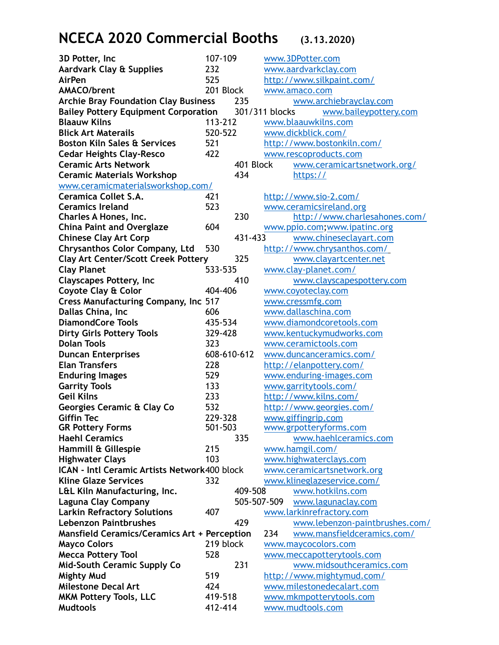## **NCECA 2020 Commercial Booths (3.13.2020)**

| 3D Potter, Inc                                                                         | 107-109     | www.3DPotter.com                  |
|----------------------------------------------------------------------------------------|-------------|-----------------------------------|
| Aardvark Clay & Supplies                                                               | 232         | www.aardvarkclay.com              |
| <b>AirPen</b>                                                                          | 525         | http://www.silkpaint.com/         |
| <b>AMACO/brent</b>                                                                     | 201 Block   | www.amaco.com                     |
| <b>Archie Bray Foundation Clay Business</b>                                            | 235         | www.archiebrayclay.com            |
| <b>Bailey Pottery Equipment Corporation</b><br>301/311 blocks<br>www.baileypottery.com |             |                                   |
| <b>Blaauw Kilns</b>                                                                    | 113-212     | www.blaauwkilns.com               |
| <b>Blick Art Materails</b>                                                             | 520-522     | www.dickblick.com/                |
| <b>Boston Kiln Sales &amp; Services</b>                                                | 521         | http://www.bostonkiln.com/        |
| <b>Cedar Heights Clay-Resco</b>                                                        | 422         | www.rescoproducts.com             |
| <b>Ceramic Arts Network</b>                                                            | 401 Block   | www.ceramicartsnetwork.org/       |
| <b>Ceramic Materials Workshop</b>                                                      | 434         | https://                          |
| www.ceramicmaterialsworkshop.com/                                                      |             |                                   |
| Ceramica Collet S.A.                                                                   | 421         | http://www.sio-2.com/             |
| <b>Ceramics Ireland</b>                                                                | 523         | www.ceramicsireland.org           |
| Charles A Hones, Inc.                                                                  | 230         | http://www.charlesahones.com/     |
| <b>China Paint and Overglaze</b>                                                       | 604         | www.ppio.com;www.ipatinc.org      |
| <b>Chinese Clay Art Corp</b>                                                           | 431-433     | www.chineseclayart.com            |
| <b>Chrysanthos Color Company, Ltd</b>                                                  | 530         | http://www.chrysanthos.com/       |
| <b>Clay Art Center/Scott Creek Pottery</b>                                             | 325         | www.clayartcenter.net             |
| <b>Clay Planet</b>                                                                     | 533-535     | www.clay-planet.com/              |
| <b>Clayscapes Pottery, Inc</b>                                                         | 410         |                                   |
|                                                                                        | 404-406     | www.clayscapespottery.com         |
| <b>Coyote Clay &amp; Color</b>                                                         |             | www.coyoteclay.com                |
| <b>Cress Manufacturing Company, Inc 517</b>                                            |             | www.cressmfg.com                  |
| Dallas China, Inc                                                                      | 606         | www.dallaschina.com               |
| <b>DiamondCore Tools</b>                                                               | 435-534     | www.diamondcoretools.com          |
| <b>Dirty Girls Pottery Tools</b>                                                       | 329-428     | www.kentuckymudworks.com          |
| <b>Dolan Tools</b>                                                                     | 323         | www.ceramictools.com              |
| <b>Duncan Enterprises</b>                                                              | 608-610-612 | www.duncanceramics.com/           |
| <b>Elan Transfers</b>                                                                  | 228         | http://elanpottery.com/           |
| <b>Enduring Images</b>                                                                 | 529         | www.enduring-images.com           |
| <b>Garrity Tools</b>                                                                   | 133         | www.garritytools.com/             |
| <b>Geil Kilns</b>                                                                      | 233         | http://www.kilns.com/             |
| Georgies Ceramic & Clay Co                                                             | 532         | http://www.georgies.com/          |
| <b>Giffin Tec</b>                                                                      | 229-328     | www.giffingrip.com                |
| <b>GR Pottery Forms</b>                                                                | 501-503     | www.grpotteryforms.com            |
| <b>Haehl Ceramics</b>                                                                  | 335         | www.haehlceramics.com             |
| Hammill & Gillespie                                                                    | 215         | www.hamgil.com/                   |
| <b>Highwater Clays</b>                                                                 | 103         | www.highwaterclays.com            |
| ICAN - Intl Ceramic Artists Network400 block                                           |             | www.ceramicartsnetwork.org        |
| <b>Kline Glaze Services</b>                                                            | 332         | www.klineglazeservice.com/        |
| L&L Kiln Manufacturing, Inc.                                                           | 409-508     | www.hotkilns.com                  |
| <b>Laguna Clay Company</b>                                                             | 505-507-509 | www.lagunaclay.com                |
| <b>Larkin Refractory Solutions</b>                                                     | 407         | www.larkinrefractory.com          |
| <b>Lebenzon Paintbrushes</b>                                                           | 429         | www.lebenzon-paintbrushes.com/    |
| <b>Mansfield Ceramics/Ceramics Art + Perception</b>                                    |             | www.mansfieldceramics.com/<br>234 |
| <b>Mayco Colors</b>                                                                    | 219 block   | www.maycocolors.com               |
| <b>Mecca Pottery Tool</b>                                                              | 528         | www.meccapotterytools.com         |
| <b>Mid-South Ceramic Supply Co</b>                                                     | 231         | www.midsouthceramics.com          |
| <b>Mighty Mud</b>                                                                      | 519         | http://www.mightymud.com/         |
| <b>Milestone Decal Art</b>                                                             | 424         | www.milestonedecalart.com         |
| <b>MKM Pottery Tools, LLC</b>                                                          | 419-518     | www.mkmpotterytools.com           |
| <b>Mudtools</b>                                                                        | 412-414     | www.mudtools.com                  |